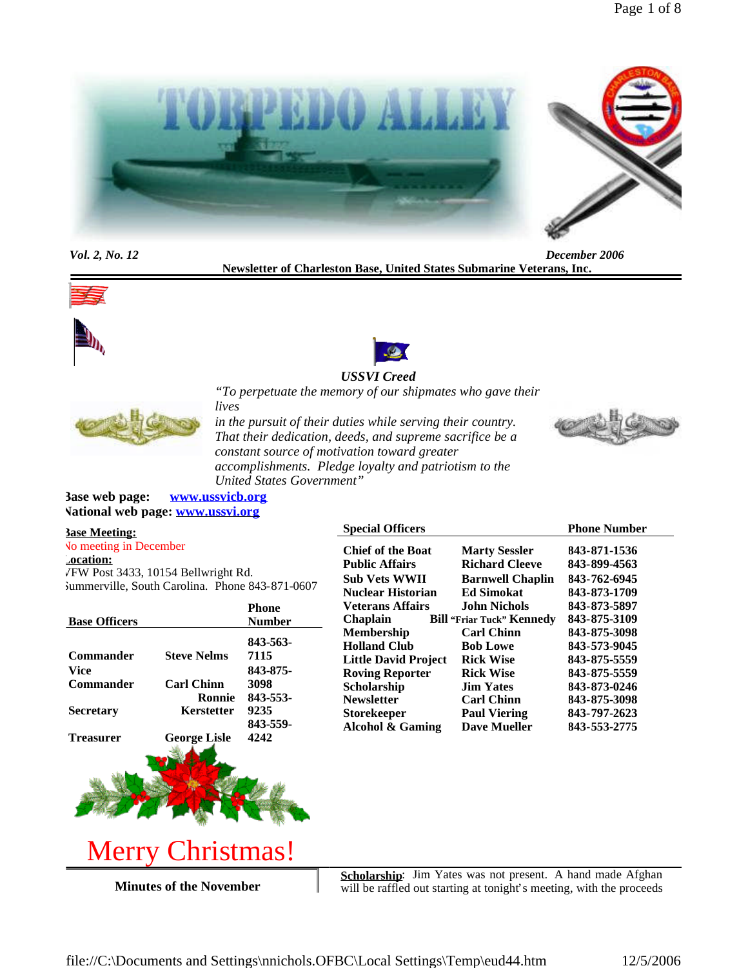

*Vol. 2, No. 12 December 2006* **Newsletter of Charleston Base, United States Submarine Veterans, Inc.**







## *"To perpetuate the memory of our shipmates who gave their lives*



*in the pursuit of their duties while serving their country. That their dedication, deeds, and supreme sacrifice be a constant source of motivation toward greater accomplishments. Pledge loyalty and patriotism to the United States Government"*



**Base web page: www.ussvicb.org National web page: www.ussvi.org**

### **Base Meeting:** No meeting in December

**Location:** VFW Post 3433, 10154 Bellwright Rd. Summerville, South Carolina. Phone 843-871-0607

|                      |                     | <b>Phone</b>   |
|----------------------|---------------------|----------------|
| <b>Base Officers</b> |                     | <b>Number</b>  |
|                      |                     | 843-563-       |
| <b>Commander</b>     | <b>Steve Nelms</b>  | 7115           |
| Vice                 |                     | 843-875-       |
| Commander            | <b>Carl Chinn</b>   | 3098           |
|                      | Ronnie              | 843-553-       |
| <b>Secretary</b>     | Kerstetter          | 9235           |
|                      |                     | 843-559-       |
| <b>Treasurer</b>     | <b>George Lisle</b> | 4242           |
|                      |                     |                |
|                      |                     | <b>COMPANY</b> |

| <b>Chief of the Boat</b>    | <b>Marty Sessler</b>             | 843-871-1536 |
|-----------------------------|----------------------------------|--------------|
| <b>Public Affairs</b>       | <b>Richard Cleeve</b>            | 843-899-4563 |
| <b>Sub Vets WWII</b>        | <b>Barnwell Chaplin</b>          | 843-762-6945 |
| <b>Nuclear Historian</b>    | <b>Ed Simokat</b>                | 843-873-1709 |
| Veterans Affairs            | <b>John Nichols</b>              | 843-873-5897 |
| <b>Chaplain</b>             | <b>Bill "Friar Tuck" Kennedy</b> | 843-875-3109 |
| <b>Membership</b>           | <b>Carl Chinn</b>                | 843-875-3098 |
| <b>Holland Club</b>         | <b>Bob Lowe</b>                  | 843-573-9045 |
| <b>Little David Project</b> | <b>Rick Wise</b>                 | 843-875-5559 |
| <b>Roving Reporter</b>      | <b>Rick Wise</b>                 | 843-875-5559 |
| Scholarship                 | <b>Jim Yates</b>                 | 843-873-0246 |
| <b>Newsletter</b>           | <b>Carl Chinn</b>                | 843-875-3098 |
| <b>Storekeeper</b>          | <b>Paul Viering</b>              | 843-797-2623 |
| <b>Alcohol &amp; Gaming</b> | <b>Dave Mueller</b>              | 843-553-2775 |

**Special Officers Phone Number** 

Merry Christmas!

**Minutes of the November**

Scholarship: Jim Yates was not present. A hand made Afghan will be raffled out starting at tonight's meeting, with the proceeds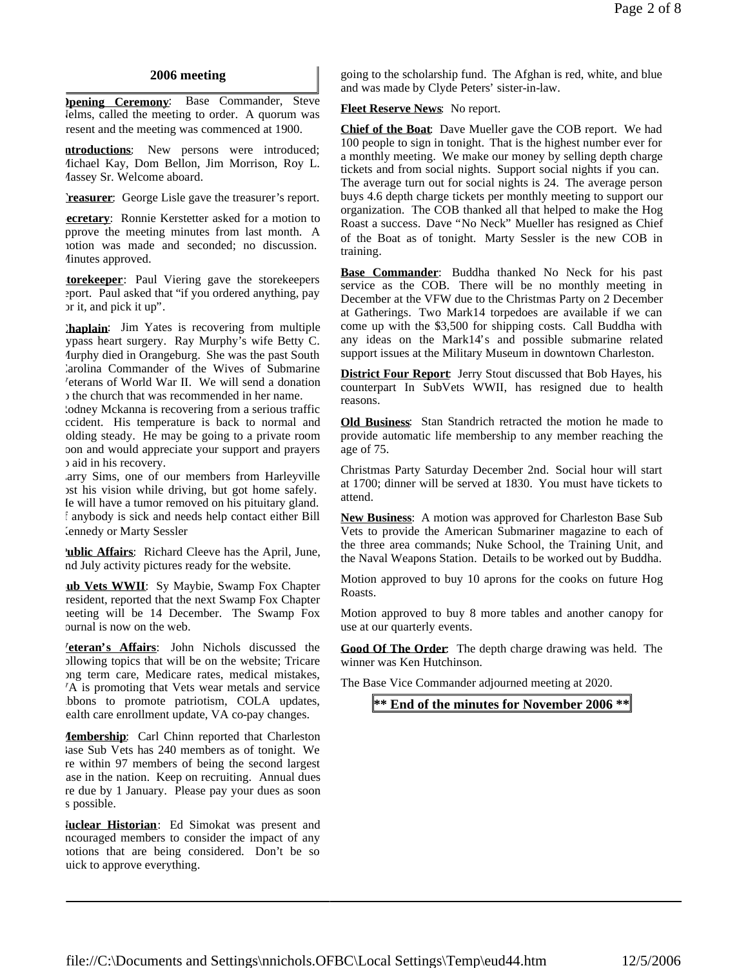### **2006 meeting**

**Opening Ceremony**: Base Commander, Steve Nelms, called the meeting to order. A quorum was present and the meeting was commenced at 1900.

**ntroductions:** New persons were introduced; Michael Kay, Dom Bellon, Jim Morrison, Roy L. Massey Sr. Welcome aboard.

**Treasurer:** George Lisle gave the treasurer's report.

**ecretary**: Ronnie Kerstetter asked for a motion to approve the meeting minutes from last month. A motion was made and seconded; no discussion. Minutes approved.

**torekeeper**: Paul Viering gave the storekeepers eport. Paul asked that "if you ordered anything, pay or it, and pick it up".

**Chaplain**: Jim Yates is recovering from multiple bypass heart surgery. Ray Murphy's wife Betty C. Murphy died in Orangeburg. She was the past South Carolina Commander of the Wives of Submarine Veterans of World War II. We will send a donation the church that was recommended in her name.

dodney Mckanna is recovering from a serious traffic ccident. His temperature is back to normal and olding steady. He may be going to a private room soon and would appreciate your support and prayers  $\upsilon$  aid in his recovery.

arry Sims, one of our members from Harleyville lost his vision while driving, but got home safely. Ie will have a tumor removed on his pituitary gland. If anybody is sick and needs help contact either Bill Kennedy or Marty Sessler

**Public Affairs**: Richard Cleeve has the April, June, and July activity pictures ready for the website.

**ub Vets WWII**: Sy Maybie, Swamp Fox Chapter president, reported that the next Swamp Fox Chapter meeting will be 14 December. The Swamp Fox burnal is now on the web.

**Veteran's Affairs**: John Nichols discussed the following topics that will be on the website; Tricare long term care, Medicare rates, medical mistakes, VA is promoting that Vets wear metals and service bbons to promote patriotism, COLA updates, ealth care enrollment update, VA co-pay changes.

**Membership**: Carl Chinn reported that Charleston lase Sub Vets has 240 members as of tonight. We re within 97 members of being the second largest ase in the nation. Keep on recruiting. Annual dues re due by 1 January. Please pay your dues as soon s possible.

**Nuclear Historian**: Ed Simokat was present and ncouraged members to consider the impact of any motions that are being considered. Don't be so uick to approve everything.

going to the scholarship fund. The Afghan is red, white, and blue and was made by Clyde Peters' sister-in-law.

### **Fleet Reserve News**: No report.

**Chief of the Boat**: Dave Mueller gave the COB report. We had 100 people to sign in tonight. That is the highest number ever for a monthly meeting. We make our money by selling depth charge tickets and from social nights. Support social nights if you can. The average turn out for social nights is 24. The average person buys 4.6 depth charge tickets per monthly meeting to support our organization. The COB thanked all that helped to make the Hog Roast a success. Dave "No Neck" Mueller has resigned as Chief of the Boat as of tonight. Marty Sessler is the new COB in training.

**Base Commander**: Buddha thanked No Neck for his past service as the COB. There will be no monthly meeting in December at the VFW due to the Christmas Party on 2 December at Gatherings. Two Mark14 torpedoes are available if we can come up with the \$3,500 for shipping costs. Call Buddha with any ideas on the Mark14's and possible submarine related support issues at the Military Museum in downtown Charleston.

**District Four Report:** Jerry Stout discussed that Bob Hayes, his counterpart In SubVets WWII, has resigned due to health reasons.

**Old Business**: Stan Standrich retracted the motion he made to provide automatic life membership to any member reaching the age of 75.

Christmas Party Saturday December 2nd. Social hour will start at 1700; dinner will be served at 1830. You must have tickets to attend.

**New Business**: A motion was approved for Charleston Base Sub Vets to provide the American Submariner magazine to each of the three area commands; Nuke School, the Training Unit, and the Naval Weapons Station. Details to be worked out by Buddha.

Motion approved to buy 10 aprons for the cooks on future Hog Roasts.

Motion approved to buy 8 more tables and another canopy for use at our quarterly events.

**Good Of The Order**: The depth charge drawing was held. The winner was Ken Hutchinson.

The Base Vice Commander adjourned meeting at 2020.

**\*\* End of the minutes for November 2006 \*\***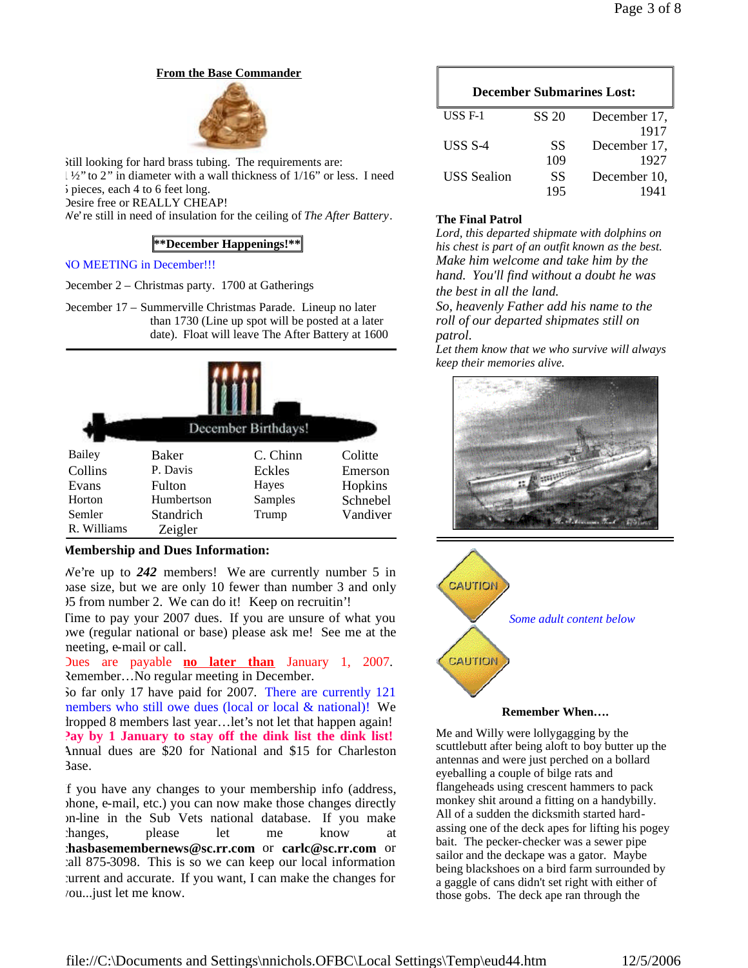# **From the Base Commander**



Still looking for hard brass tubing. The requirements are: 1 ½" to 2" in diameter with a wall thickness of 1/16" or less. I need 5 pieces, each 4 to 6 feet long. Desire free or REALLY CHEAP! We're still in need of insulation for the ceiling of *The After Battery*.

# **\*\*December Happenings!\*\***

### NO MEETING in December!!!

December 2 – Christmas party. 1700 at Gatherings

December 17 – Summerville Christmas Parade. Lineup no later than 1730 (Line up spot will be posted at a later date). Float will leave The After Battery at 1600

| December Birthdays! |              |          |          |
|---------------------|--------------|----------|----------|
| Bailey              | <b>Baker</b> | C. Chinn | Colitte  |
| Collins             | P. Davis     | Eckles   | Emerson  |
| Evans               | Fulton       | Hayes    | Hopkins  |
| Horton              | Humbertson   | Samples  | Schnebel |
| Semler              | Standrich    | Trump    | Vandiver |
| R. Williams         | Zeigler      |          |          |

# **Membership and Dues Information:**

We're up to *242* members! We are currently number 5 in base size, but we are only 10 fewer than number 3 and only 95 from number 2. We can do it! Keep on recruitin'!

Time to pay your 2007 dues. If you are unsure of what you owe (regular national or base) please ask me! See me at the meeting, e-mail or call.

Dues are payable **no later than** January 1, 2007. Remember…No regular meeting in December.

So far only 17 have paid for 2007. There are currently 121 members who still owe dues (local or local & national)! We dropped 8 members last year…let's not let that happen again! **Pay by 1 January to stay off the dink list the dink list!** Annual dues are \$20 for National and \$15 for Charleston Base.

If you have any changes to your membership info (address, phone, e-mail, etc.) you can now make those changes directly on-line in the Sub Vets national database. If you make changes, please let me know at **chasbasemembernews@sc.rr.com** or **carlc@sc.rr.com** or call 875-3098. This is so we can keep our local information current and accurate. If you want, I can make the changes for you...just let me know.

| <b>December Submarines Lost:</b> |           |              |  |
|----------------------------------|-----------|--------------|--|
| USS $F-1$                        | SS 20     | December 17, |  |
|                                  |           | 1917         |  |
| USS S-4                          | <b>SS</b> | December 17, |  |
|                                  | 109       | 1927         |  |
| <b>USS</b> Sealion               | SS        | December 10, |  |
|                                  | 195       |              |  |

# **The Final Patrol**

*Lord, this departed shipmate with dolphins on his chest is part of an outfit known as the best. Make him welcome and take him by the hand. You'll find without a doubt he was the best in all the land.*

*So, heavenly Father add his name to the roll of our departed shipmates still on patrol.*

*Let them know that we who survive will always keep their memories alive.*





**Remember When….**

Me and Willy were lollygagging by the scuttlebutt after being aloft to boy butter up the antennas and were just perched on a bollard eyeballing a couple of bilge rats and flangeheads using crescent hammers to pack monkey shit around a fitting on a handybilly. All of a sudden the dicksmith started hardassing one of the deck apes for lifting his pogey bait. The pecker-checker was a sewer pipe sailor and the deckape was a gator. Maybe being blackshoes on a bird farm surrounded by a gaggle of cans didn't set right with either of those gobs. The deck ape ran through the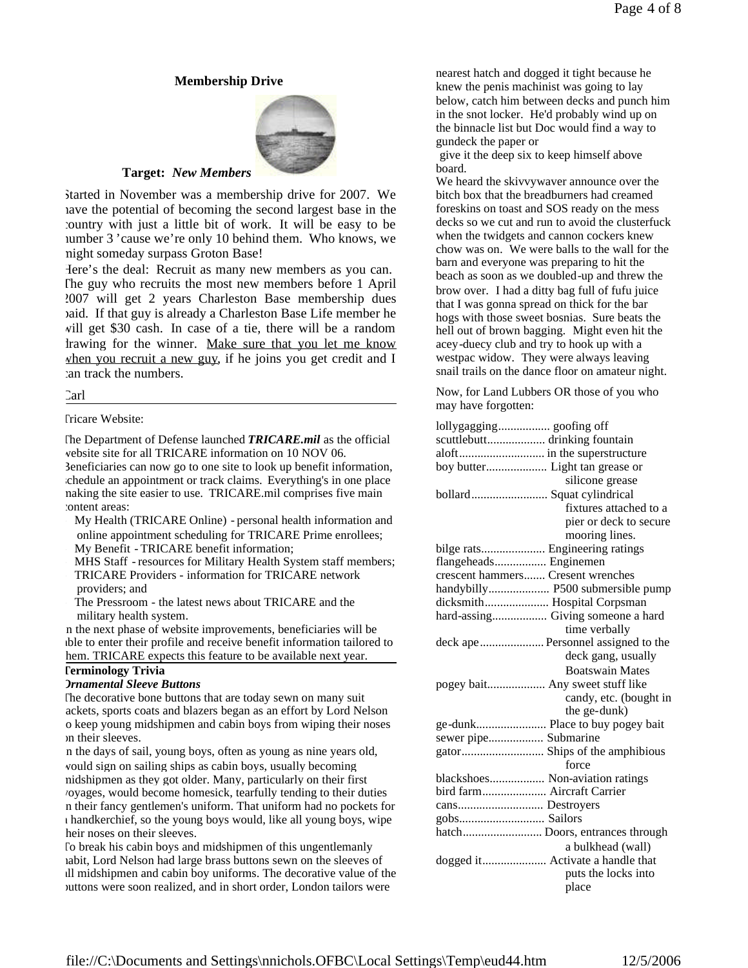### **Membership Drive**



### **Target:** *New Members*

Started in November was a membership drive for 2007. We have the potential of becoming the second largest base in the country with just a little bit of work. It will be easy to be number 3 'cause we're only 10 behind them. Who knows, we might someday surpass Groton Base!

Here's the deal: Recruit as many new members as you can. The guy who recruits the most new members before 1 April 2007 will get 2 years Charleston Base membership dues paid. If that guy is already a Charleston Base Life member he will get \$30 cash. In case of a tie, there will be a random drawing for the winner. Make sure that you let me know when you recruit a new guy, if he joins you get credit and I can track the numbers.

Carl

#### **Tricare Website:**

The Department of Defense launched *TRICARE.mil* as the official website site for all TRICARE information on 10 NOV 06. Beneficiaries can now go to one site to look up benefit information, schedule an appointment or track claims. Everything's in one place making the site easier to use. TRICARE.mil comprises five main content areas:

- My Health (TRICARE Online) personal health information and online appointment scheduling for TRICARE Prime enrollees; My Benefit - TRICARE benefit information;
- MHS Staff resources for Military Health System staff members; TRICARE Providers - information for TRICARE network

providers; and

The Pressroom - the latest news about TRICARE and the military health system.

In the next phase of website improvements, beneficiaries will be able to enter their profile and receive benefit information tailored to hem. TRICARE expects this feature to be available next year.

### **Terminology Trivia**

### *Ornamental Sleeve Buttons*

The decorative bone buttons that are today sewn on many suit ackets, sports coats and blazers began as an effort by Lord Nelson o keep young midshipmen and cabin boys from wiping their noses on their sleeves.

In the days of sail, young boys, often as young as nine years old, would sign on sailing ships as cabin boys, usually becoming midshipmen as they got older. Many, particularly on their first voyages, would become homesick, tearfully tending to their duties in their fancy gentlemen's uniform. That uniform had no pockets for a handkerchief, so the young boys would, like all young boys, wipe heir noses on their sleeves.

To break his cabin boys and midshipmen of this ungentlemanly habit, Lord Nelson had large brass buttons sewn on the sleeves of all midshipmen and cabin boy uniforms. The decorative value of the buttons were soon realized, and in short order, London tailors were

nearest hatch and dogged it tight because he knew the penis machinist was going to lay below, catch him between decks and punch him in the snot locker. He'd probably wind up on the binnacle list but Doc would find a way to gundeck the paper or

give it the deep six to keep himself above board.

We heard the skivvywaver announce over the bitch box that the breadburners had creamed foreskins on toast and SOS ready on the mess decks so we cut and run to avoid the clusterfuck when the twidgets and cannon cockers knew chow was on. We were balls to the wall for the barn and everyone was preparing to hit the beach as soon as we doubled-up and threw the brow over. I had a ditty bag full of fufu juice that I was gonna spread on thick for the bar hogs with those sweet bosnias. Sure beats the hell out of brown bagging. Might even hit the acey-duecy club and try to hook up with a westpac widow. They were always leaving snail trails on the dance floor on amateur night.

Now, for Land Lubbers OR those of you who may have forgotten:

| scuttlebutt drinking fountain      |  |  |
|------------------------------------|--|--|
|                                    |  |  |
|                                    |  |  |
| silicone grease                    |  |  |
| bollard Squat cylindrical          |  |  |
| fixtures attached to a             |  |  |
| pier or deck to secure             |  |  |
| mooring lines.                     |  |  |
|                                    |  |  |
| flangeheads Enginemen              |  |  |
| crescent hammers Cresent wrenches  |  |  |
| handybilly P500 submersible pump   |  |  |
| dicksmith Hospital Corpsman        |  |  |
| hard-assing Giving someone a hard  |  |  |
| time verbally                      |  |  |
| deck ape Personnel assigned to the |  |  |
| deck gang, usually                 |  |  |
| <b>Boatswain Mates</b>             |  |  |
| pogey bait Any sweet stuff like    |  |  |
| candy, etc. (bought in             |  |  |
| the ge-dunk)                       |  |  |
| ge-dunk Place to buy pogey bait    |  |  |
| sewer pipe Submarine               |  |  |
|                                    |  |  |
| force                              |  |  |
| blackshoes Non-aviation ratings    |  |  |
| bird farm Aircraft Carrier         |  |  |
|                                    |  |  |
| gobs Sailors                       |  |  |
| hatch Doors, entrances through     |  |  |
| a bulkhead (wall)                  |  |  |
| dogged it Activate a handle that   |  |  |
| puts the locks into                |  |  |
| place                              |  |  |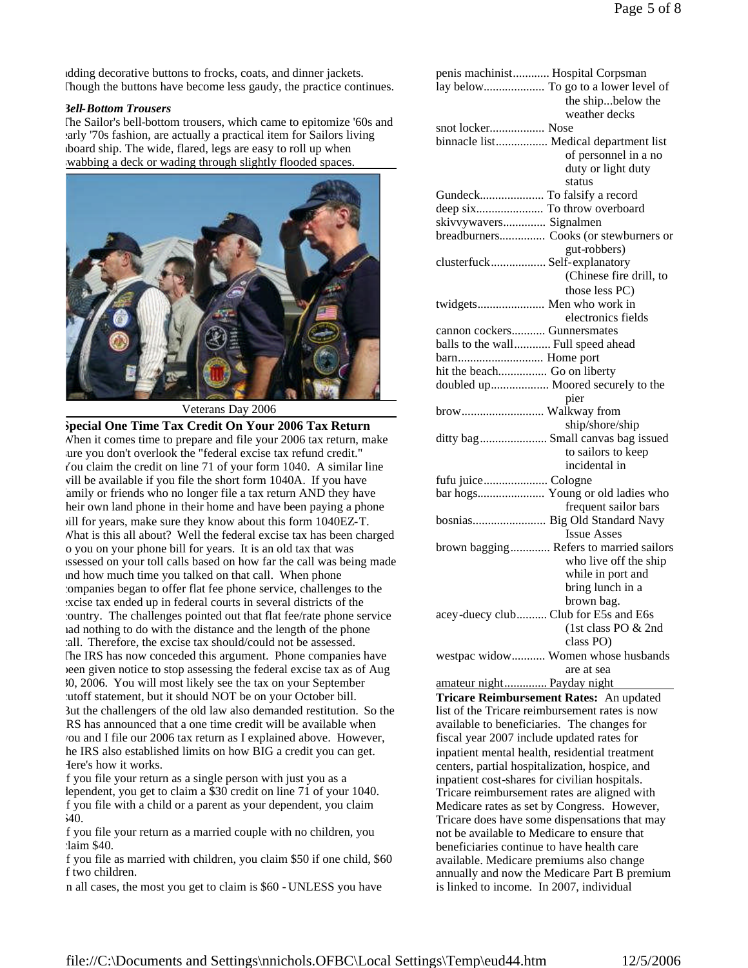adding decorative buttons to frocks, coats, and dinner jackets. Though the buttons have become less gaudy, the practice continues.

#### *Bell-Bottom Trousers*

The Sailor's bell-bottom trousers, which came to epitomize '60s and arly '70s fashion, are actually a practical item for Sailors living aboard ship. The wide, flared, legs are easy to roll up when wabbing a deck or wading through slightly flooded spaces.



Veterans Day 2006

**Special One Time Tax Credit On Your 2006 Tax Return** When it comes time to prepare and file your 2006 tax return, make sure you don't overlook the "federal excise tax refund credit." You claim the credit on line 71 of your form 1040. A similar line will be available if you file the short form 1040A. If you have amily or friends who no longer file a tax return AND they have heir own land phone in their home and have been paying a phone bill for years, make sure they know about this form 1040EZ-T. What is this all about? Well the federal excise tax has been charged o you on your phone bill for years. It is an old tax that was assessed on your toll calls based on how far the call was being made and how much time you talked on that call. When phone companies began to offer flat fee phone service, challenges to the excise tax ended up in federal courts in several districts of the country. The challenges pointed out that flat fee/rate phone service had nothing to do with the distance and the length of the phone call. Therefore, the excise tax should/could not be assessed. The IRS has now conceded this argument. Phone companies have been given notice to stop assessing the federal excise tax as of Aug 30, 2006. You will most likely see the tax on your September cutoff statement, but it should NOT be on your October bill. But the challengers of the old law also demanded restitution. So the RS has announced that a one time credit will be available when you and I file our 2006 tax return as I explained above. However, he IRS also established limits on how BIG a credit you can get. Here's how it works.

If you file your return as a single person with just you as a dependent, you get to claim a \$30 credit on line 71 of your 1040. If you file with a child or a parent as your dependent, you claim \$40.

If you file your return as a married couple with no children, you claim \$40.

If you file as married with children, you claim \$50 if one child, \$60 f two children.

In all cases, the most you get to claim is \$60 - UNLESS you have

|                                          | penis machinist Hospital Corpsman              |
|------------------------------------------|------------------------------------------------|
|                                          | lay below To go to a lower level of            |
|                                          | the shipbelow the                              |
|                                          | weather decks                                  |
| snot locker Nose                         |                                                |
|                                          | binnacle list Medical department list          |
|                                          | of personnel in a no                           |
|                                          | duty or light duty                             |
|                                          | status                                         |
|                                          |                                                |
|                                          |                                                |
|                                          | deep six To throw overboard                    |
| skivvywavers Signalmen                   |                                                |
|                                          | breadburners Cooks (or stewburners or          |
|                                          | gut-robbers)                                   |
| clusterfuck Self-explanatory             |                                                |
|                                          | (Chinese fire drill, to                        |
|                                          | those less PC)                                 |
| twidgets Men who work in                 |                                                |
|                                          | electronics fields                             |
| cannon cockers Gunnersmates              |                                                |
| balls to the wall Full speed ahead       |                                                |
|                                          |                                                |
| hit the beach Go on liberty              |                                                |
|                                          | doubled up Moored securely to the              |
|                                          | pier                                           |
| brow Walkway from                        |                                                |
|                                          | ship/shore/ship                                |
|                                          | ditty bag  Small canvas bag issued             |
|                                          | to sailors to keep                             |
|                                          |                                                |
|                                          | incidental in                                  |
|                                          |                                                |
|                                          | bar hogs Young or old ladies who               |
|                                          | frequent sailor bars                           |
|                                          | bosnias Big Old Standard Navy                  |
|                                          | <b>Issue Asses</b>                             |
|                                          | brown bagging Refers to married sailors        |
|                                          | who live off the ship                          |
|                                          | while in port and                              |
|                                          | bring lunch in a                               |
|                                          | brown bag.                                     |
| acey-duecy club                          | Club for E5s and E6s                           |
|                                          | (1st class PO & 2nd                            |
|                                          | class PO)                                      |
|                                          | westpac widow Women whose husbands             |
|                                          | are at sea                                     |
| amateur night Payday night               |                                                |
|                                          | Tricare Reimbursement Rates: An updated        |
|                                          | list of the Tricare reimbursement rates is now |
|                                          | available to beneficiaries. The changes for    |
|                                          |                                                |
|                                          | fiscal year 2007 include updated rates for     |
|                                          | inpatient mental health, residential treatment |
|                                          | centers, partial hospitalization, hospice, and |
|                                          | inpatient cost-shares for civilian hospitals.  |
|                                          | Tricare reimbursement rates are aligned with   |
|                                          | Medicare rates as set by Congress. However,    |
|                                          | Tricare does have some dispensations that may  |
|                                          | not be available to Medicare to ensure that    |
|                                          | beneficiaries continue to have health care     |
|                                          | available. Medicare premiums also change       |
|                                          | annually and now the Medicare Part B premium   |
|                                          |                                                |
| is linked to income. In 2007, individual |                                                |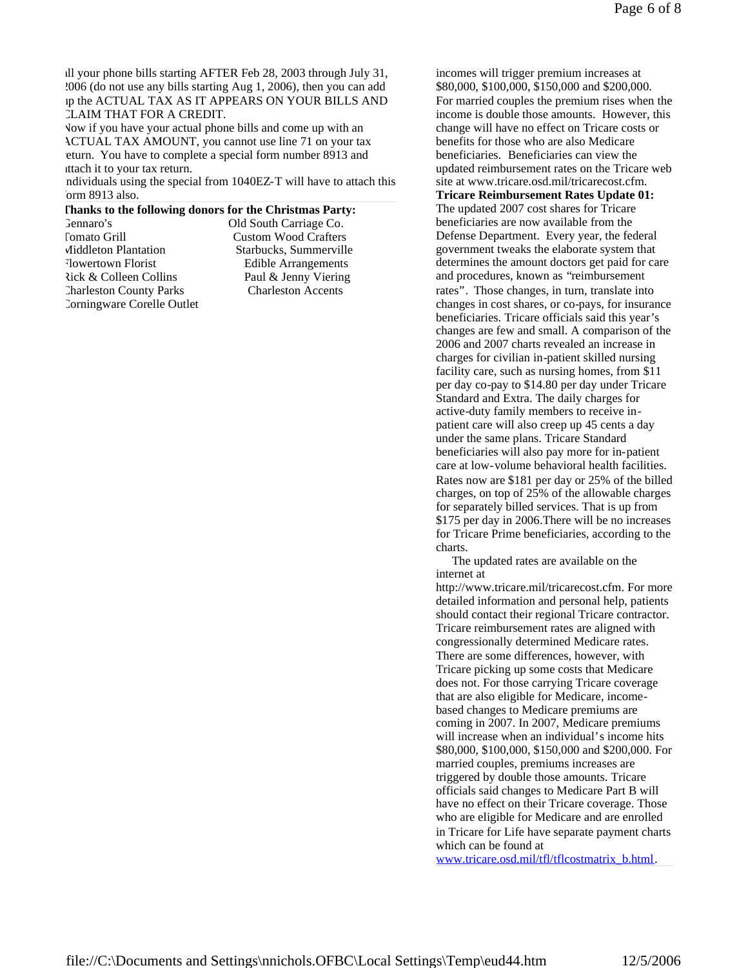all your phone bills starting AFTER Feb 28, 2003 through July 31, 2006 (do not use any bills starting Aug 1, 2006), then you can add up the ACTUAL TAX AS IT APPEARS ON YOUR BILLS AND CLAIM THAT FOR A CREDIT.

Now if you have your actual phone bills and come up with an ACTUAL TAX AMOUNT, you cannot use line 71 on your tax eturn. You have to complete a special form number 8913 and attach it to your tax return.

ndividuals using the special from 1040EZ-T will have to attach this orm 8913 also.

#### **Thanks to the following donors for the Christmas Party:**

| Gennaro's                      | Old South Carriage Co.      |
|--------------------------------|-----------------------------|
| <b>Tomato Grill</b>            | <b>Custom Wood Crafters</b> |
| Middleton Plantation           | Starbucks, Summerville      |
| Flowertown Florist             | <b>Edible Arrangements</b>  |
| Rick & Colleen Collins         | Paul & Jenny Viering        |
| <b>Charleston County Parks</b> | <b>Charleston Accents</b>   |
| Corningware Corelle Outlet     |                             |

incomes will trigger premium increases at \$80,000, \$100,000, \$150,000 and \$200,000. For married couples the premium rises when the income is double those amounts. However, this change will have no effect on Tricare costs or benefits for those who are also Medicare beneficiaries. Beneficiaries can view the updated reimbursement rates on the Tricare web site at www.tricare.osd.mil/tricarecost.cfm. **Tricare Reimbursement Rates Update 01:**

The updated 2007 cost shares for Tricare beneficiaries are now available from the Defense Department. Every year, the federal government tweaks the elaborate system that determines the amount doctors get paid for care and procedures, known as "reimbursement rates". Those changes, in turn, translate into changes in cost shares, or co-pays, for insurance beneficiaries. Tricare officials said this year's changes are few and small. A comparison of the 2006 and 2007 charts revealed an increase in charges for civilian in-patient skilled nursing facility care, such as nursing homes, from \$11 per day co-pay to \$14.80 per day under Tricare Standard and Extra. The daily charges for active-duty family members to receive inpatient care will also creep up 45 cents a day under the same plans. Tricare Standard beneficiaries will also pay more for in-patient care at low-volume behavioral health facilities. Rates now are \$181 per day or 25% of the billed charges, on top of 25% of the allowable charges for separately billed services. That is up from \$175 per day in 2006.There will be no increases for Tricare Prime beneficiaries, according to the charts.

The updated rates are available on the internet at

http://www.tricare.mil/tricarecost.cfm. For more detailed information and personal help, patients should contact their regional Tricare contractor. Tricare reimbursement rates are aligned with congressionally determined Medicare rates. There are some differences, however, with Tricare picking up some costs that Medicare does not. For those carrying Tricare coverage that are also eligible for Medicare, incomebased changes to Medicare premiums are coming in 2007. In 2007, Medicare premiums will increase when an individual's income hits \$80,000, \$100,000, \$150,000 and \$200,000. For married couples, premiums increases are triggered by double those amounts. Tricare officials said changes to Medicare Part B will have no effect on their Tricare coverage. Those who are eligible for Medicare and are enrolled in Tricare for Life have separate payment charts which can be found at

www.tricare.osd.mil/tfl/tflcostmatrix\_b.html.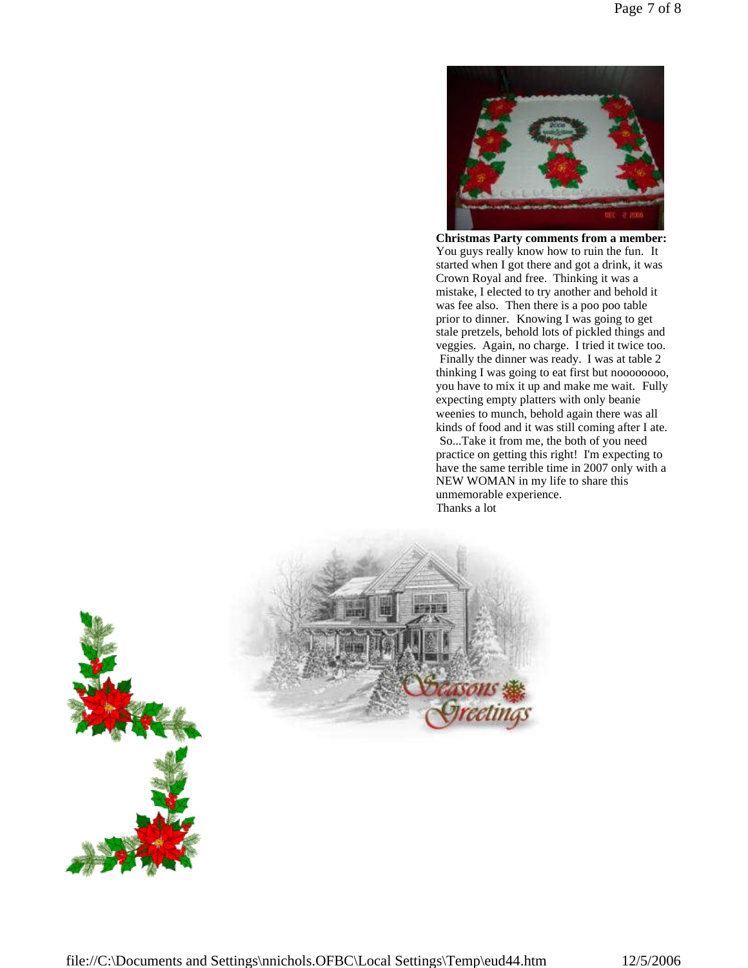

**Christmas Party comments from a member:** You guys really know how to ruin the fun. It started when I got there and got a drink, it was Crown Royal and free. Thinking it was a mistake, I elected to try another and behold it was fee also. Then there is a poo poo table prior to dinner. Knowing I was going to get stale pretzels, behold lots of pickled things and veggies. Again, no charge. I tried it twice too. Finally the dinner was ready. I was at table 2 thinking I was going to eat first but noooooooo, you have to mix it up and make me wait. Fully expecting empty platters with only beanie weenies to munch, behold again there was all kinds of food and it was still coming after I ate. So...Take it from me, the both of you need practice on getting this right! I'm expecting to have the same terrible time in 2007 only with a NEW WOMAN in my life to share this unmemorable experience. Thanks a lot